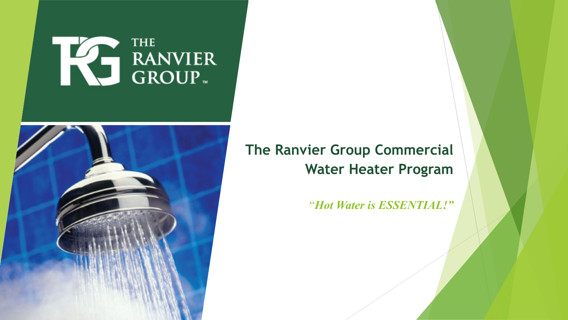# THE RANVIER



#### **The Ranvier Group Commercial Water Heater Program**

"*Hot Water is ESSENTIAL!"*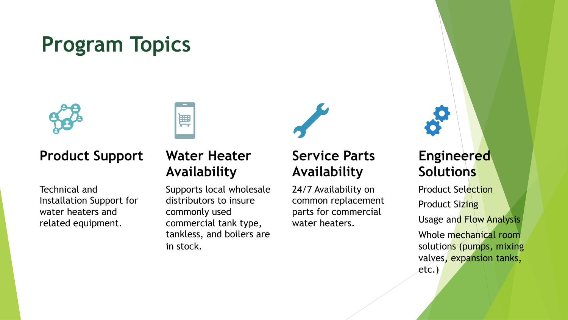## **Program Topics**



#### **Product Support**

Technical and Installation Support for water heaters and related equipment.

#### **Water Heater Availability**

篇

Supports local wholesale distributors to insure commonly used commercial tank type, tankless, and boilers are in stock.

#### **Service Parts Availability**

24/7 Availability on common replacement parts for commercial water heaters.

#### **Engineered Solutions**

Product Selection **Product Sizing** Usage and Flow Analysis Whole mechanical room solutions (pumps, mixing valves, expansion tanks, etc.)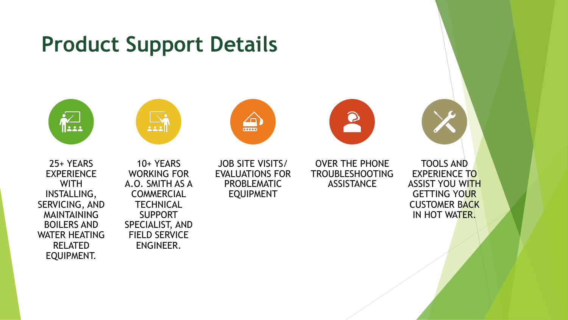### **Product Support Details**









25+ YEARS EXPERIENCE **WITH** INSTALLING, SERVICING, AND MAINTAINING BOILERS AND WATER HEATING RELATED EQUIPMENT.

10+ YEARS WORKING FOR A.O. SMITH AS A **COMMERCIAL TECHNICAL** SUPPORT SPECIALIST, AND FIELD SERVICE ENGINEER.

JOB SITE VISITS/ EVALUATIONS FOR PROBLEMATIC EQUIPMENT

OVER THE PHONE TROUBLESHOOTING **ASSISTANCE** 

TOOLS AND EXPERIENCE TO ASSIST YOU WITH GETTING YOUR CUSTOMER BACK IN HOT WATER.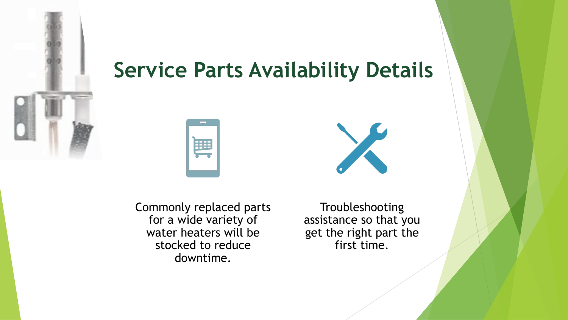

## 篇

**Service Parts Availability Details**



Commonly replaced parts for a wide variety of water heaters will be stocked to reduce downtime.

Troubleshooting assistance so that you get the right part the first time.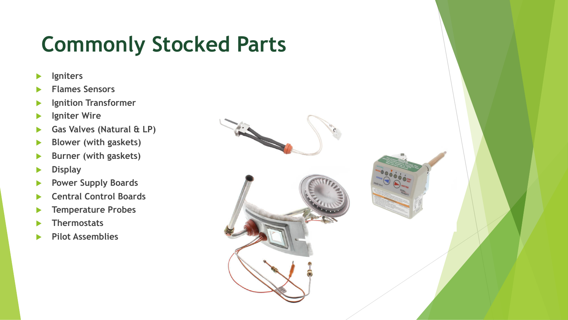## **Commonly Stocked Parts**

- **Igniters**
- u **Flames Sensors**
- **Ignition Transformer**
- **Igniter Wire**
- **Gas Valves (Natural & LP)**
- **Blower (with gaskets)**
- **Burner (with gaskets)**
- **Display**
- **Power Supply Boards**
- **Central Control Boards**
- **Temperature Probes**
- **Thermostats**
- **Pilot Assemblies**

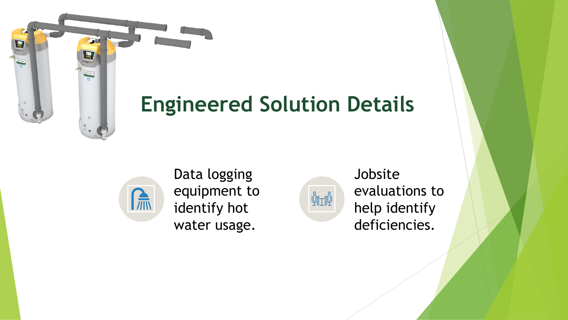

## **Engineered Solution Details**



Data logging equipment to identify hot water usage.



Jobsite evaluations to help identify deficiencies.